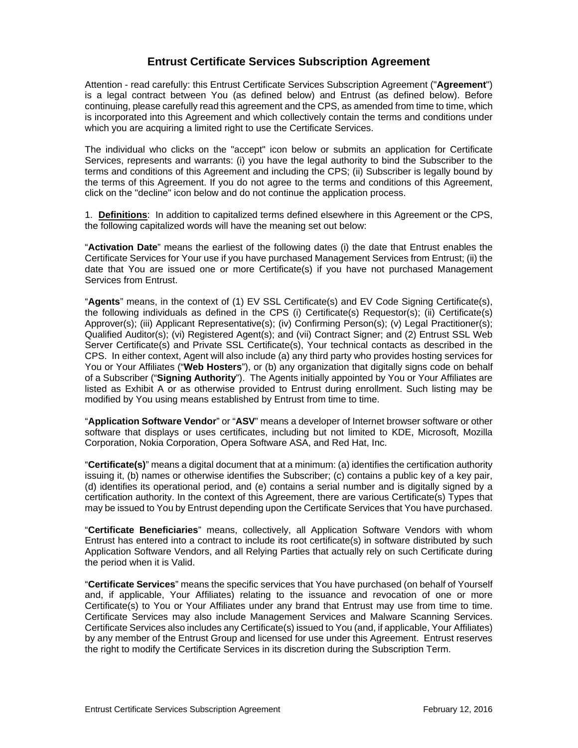# **Entrust Certificate Services Subscription Agreement**

Attention - read carefully: this Entrust Certificate Services Subscription Agreement ("**Agreement**") is a legal contract between You (as defined below) and Entrust (as defined below). Before continuing, please carefully read this agreement and the CPS, as amended from time to time, which is incorporated into this Agreement and which collectively contain the terms and conditions under which you are acquiring a limited right to use the Certificate Services.

The individual who clicks on the "accept" icon below or submits an application for Certificate Services, represents and warrants: (i) you have the legal authority to bind the Subscriber to the terms and conditions of this Agreement and including the CPS; (ii) Subscriber is legally bound by the terms of this Agreement. If you do not agree to the terms and conditions of this Agreement, click on the "decline" icon below and do not continue the application process.

1. **Definitions**: In addition to capitalized terms defined elsewhere in this Agreement or the CPS, the following capitalized words will have the meaning set out below:

"**Activation Date**" means the earliest of the following dates (i) the date that Entrust enables the Certificate Services for Your use if you have purchased Management Services from Entrust; (ii) the date that You are issued one or more Certificate(s) if you have not purchased Management Services from Entrust.

"**Agents**" means, in the context of (1) EV SSL Certificate(s) and EV Code Signing Certificate(s), the following individuals as defined in the CPS (i) Certificate(s) Requestor(s); (ii) Certificate(s) Approver(s); (iii) Applicant Representative(s); (iv) Confirming Person(s); (v) Legal Practitioner(s); Qualified Auditor(s); (vi) Registered Agent(s); and (vii) Contract Signer; and (2) Entrust SSL Web Server Certificate(s) and Private SSL Certificate(s), Your technical contacts as described in the CPS. In either context, Agent will also include (a) any third party who provides hosting services for You or Your Affiliates ("**Web Hosters**"), or (b) any organization that digitally signs code on behalf of a Subscriber ("**Signing Authority**"). The Agents initially appointed by You or Your Affiliates are listed as Exhibit A or as otherwise provided to Entrust during enrollment. Such listing may be modified by You using means established by Entrust from time to time.

"**Application Software Vendor**" or "**ASV**" means a developer of Internet browser software or other software that displays or uses certificates, including but not limited to KDE, Microsoft, Mozilla Corporation, Nokia Corporation, Opera Software ASA, and Red Hat, Inc.

"**Certificate(s)**" means a digital document that at a minimum: (a) identifies the certification authority issuing it, (b) names or otherwise identifies the Subscriber; (c) contains a public key of a key pair, (d) identifies its operational period, and (e) contains a serial number and is digitally signed by a certification authority. In the context of this Agreement, there are various Certificate(s) Types that may be issued to You by Entrust depending upon the Certificate Services that You have purchased.

"**Certificate Beneficiaries**" means, collectively, all Application Software Vendors with whom Entrust has entered into a contract to include its root certificate(s) in software distributed by such Application Software Vendors, and all Relying Parties that actually rely on such Certificate during the period when it is Valid.

"**Certificate Services**" means the specific services that You have purchased (on behalf of Yourself and, if applicable, Your Affiliates) relating to the issuance and revocation of one or more Certificate(s) to You or Your Affiliates under any brand that Entrust may use from time to time. Certificate Services may also include Management Services and Malware Scanning Services. Certificate Services also includes any Certificate(s) issued to You (and, if applicable, Your Affiliates) by any member of the Entrust Group and licensed for use under this Agreement. Entrust reserves the right to modify the Certificate Services in its discretion during the Subscription Term.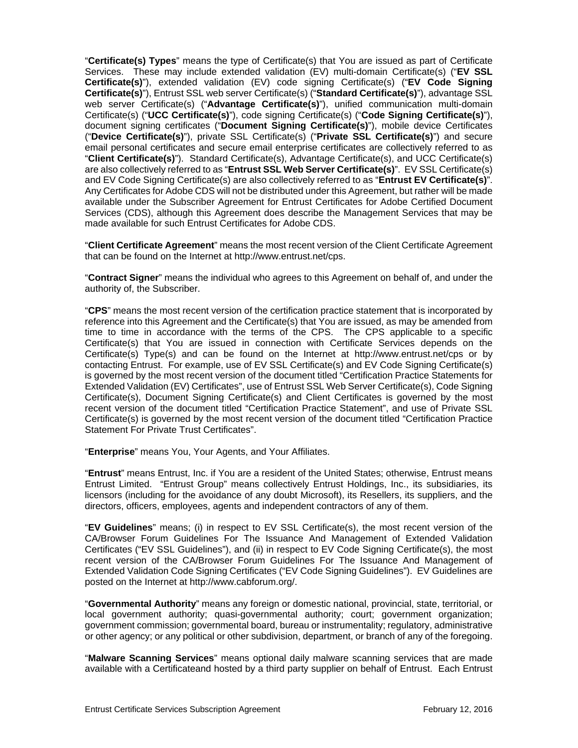"**Certificate(s) Types**" means the type of Certificate(s) that You are issued as part of Certificate Services. These may include extended validation (EV) multi-domain Certificate(s) ("**EV SSL Certificate(s)**"), extended validation (EV) code signing Certificate(s) ("**EV Code Signing Certificate(s)**"), Entrust SSL web server Certificate(s) ("**Standard Certificate(s)**"), advantage SSL web server Certificate(s) ("**Advantage Certificate(s)**"), unified communication multi-domain Certificate(s) ("**UCC Certificate(s)**"), code signing Certificate(s) ("**Code Signing Certificate(s)**"), document signing certificates ("**Document Signing Certificate(s)**"), mobile device Certificates ("**Device Certificate(s)**"), private SSL Certificate(s) ("**Private SSL Certificate(s)**") and secure email personal certificates and secure email enterprise certificates are collectively referred to as "**Client Certificate(s)**"). Standard Certificate(s), Advantage Certificate(s), and UCC Certificate(s) are also collectively referred to as "**Entrust SSL Web Server Certificate(s)**". EV SSL Certificate(s) and EV Code Signing Certificate(s) are also collectively referred to as "**Entrust EV Certificate(s)**". Any Certificates for Adobe CDS will not be distributed under this Agreement, but rather will be made available under the Subscriber Agreement for Entrust Certificates for Adobe Certified Document Services (CDS), although this Agreement does describe the Management Services that may be made available for such Entrust Certificates for Adobe CDS.

"**Client Certificate Agreement**" means the most recent version of the Client Certificate Agreement that can be found on the Internet at http://www.entrust.net/cps.

"**Contract Signer**" means the individual who agrees to this Agreement on behalf of, and under the authority of, the Subscriber.

"**CPS**" means the most recent version of the certification practice statement that is incorporated by reference into this Agreement and the Certificate(s) that You are issued, as may be amended from time to time in accordance with the terms of the CPS. The CPS applicable to a specific Certificate(s) that You are issued in connection with Certificate Services depends on the Certificate(s) Type(s) and can be found on the Internet at http://www.entrust.net/cps or by contacting Entrust. For example, use of EV SSL Certificate(s) and EV Code Signing Certificate(s) is governed by the most recent version of the document titled "Certification Practice Statements for Extended Validation (EV) Certificates", use of Entrust SSL Web Server Certificate(s), Code Signing Certificate(s), Document Signing Certificate(s) and Client Certificates is governed by the most recent version of the document titled "Certification Practice Statement", and use of Private SSL Certificate(s) is governed by the most recent version of the document titled "Certification Practice Statement For Private Trust Certificates".

"**Enterprise**" means You, Your Agents, and Your Affiliates.

"**Entrust**" means Entrust, Inc. if You are a resident of the United States; otherwise, Entrust means Entrust Limited. "Entrust Group" means collectively Entrust Holdings, Inc., its subsidiaries, its licensors (including for the avoidance of any doubt Microsoft), its Resellers, its suppliers, and the directors, officers, employees, agents and independent contractors of any of them.

"**EV Guidelines**" means; (i) in respect to EV SSL Certificate(s), the most recent version of the CA/Browser Forum Guidelines For The Issuance And Management of Extended Validation Certificates ("EV SSL Guidelines"), and (ii) in respect to EV Code Signing Certificate(s), the most recent version of the CA/Browser Forum Guidelines For The Issuance And Management of Extended Validation Code Signing Certificates ("EV Code Signing Guidelines"). EV Guidelines are posted on the Internet at http://www.cabforum.org/.

"**Governmental Authority**" means any foreign or domestic national, provincial, state, territorial, or local government authority; quasi-governmental authority; court; government organization; government commission; governmental board, bureau or instrumentality; regulatory, administrative or other agency; or any political or other subdivision, department, or branch of any of the foregoing.

"**Malware Scanning Services**" means optional daily malware scanning services that are made available with a Certificateand hosted by a third party supplier on behalf of Entrust. Each Entrust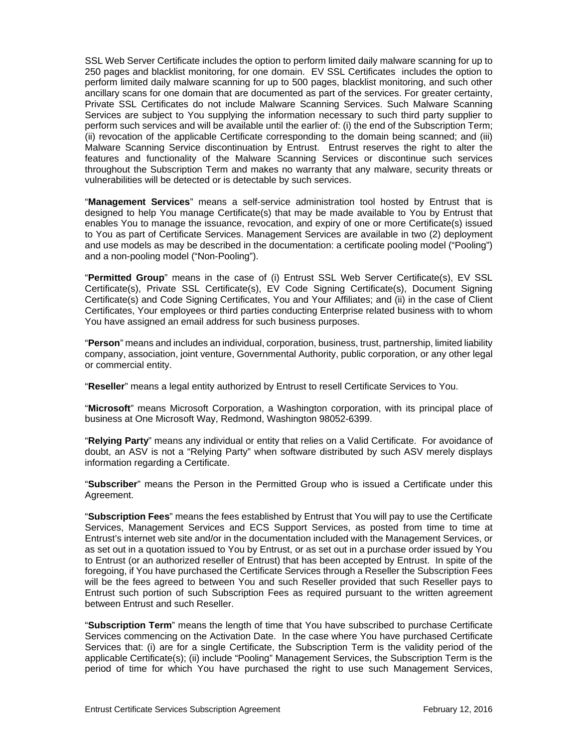SSL Web Server Certificate includes the option to perform limited daily malware scanning for up to 250 pages and blacklist monitoring, for one domain. EV SSL Certificates includes the option to perform limited daily malware scanning for up to 500 pages, blacklist monitoring, and such other ancillary scans for one domain that are documented as part of the services. For greater certainty, Private SSL Certificates do not include Malware Scanning Services. Such Malware Scanning Services are subject to You supplying the information necessary to such third party supplier to perform such services and will be available until the earlier of: (i) the end of the Subscription Term; (ii) revocation of the applicable Certificate corresponding to the domain being scanned; and (iii) Malware Scanning Service discontinuation by Entrust. Entrust reserves the right to alter the features and functionality of the Malware Scanning Services or discontinue such services throughout the Subscription Term and makes no warranty that any malware, security threats or vulnerabilities will be detected or is detectable by such services.

"**Management Services**" means a self-service administration tool hosted by Entrust that is designed to help You manage Certificate(s) that may be made available to You by Entrust that enables You to manage the issuance, revocation, and expiry of one or more Certificate(s) issued to You as part of Certificate Services. Management Services are available in two (2) deployment and use models as may be described in the documentation: a certificate pooling model ("Pooling") and a non-pooling model ("Non-Pooling").

"**Permitted Group**" means in the case of (i) Entrust SSL Web Server Certificate(s), EV SSL Certificate(s), Private SSL Certificate(s), EV Code Signing Certificate(s), Document Signing Certificate(s) and Code Signing Certificates, You and Your Affiliates; and (ii) in the case of Client Certificates, Your employees or third parties conducting Enterprise related business with to whom You have assigned an email address for such business purposes.

"**Person**" means and includes an individual, corporation, business, trust, partnership, limited liability company, association, joint venture, Governmental Authority, public corporation, or any other legal or commercial entity.

"**Reseller**" means a legal entity authorized by Entrust to resell Certificate Services to You.

"**Microsoft**" means Microsoft Corporation, a Washington corporation, with its principal place of business at One Microsoft Way, Redmond, Washington 98052-6399.

"**Relying Party**" means any individual or entity that relies on a Valid Certificate. For avoidance of doubt, an ASV is not a "Relying Party" when software distributed by such ASV merely displays information regarding a Certificate.

"**Subscriber**" means the Person in the Permitted Group who is issued a Certificate under this Agreement.

"**Subscription Fees**" means the fees established by Entrust that You will pay to use the Certificate Services, Management Services and ECS Support Services, as posted from time to time at Entrust's internet web site and/or in the documentation included with the Management Services, or as set out in a quotation issued to You by Entrust, or as set out in a purchase order issued by You to Entrust (or an authorized reseller of Entrust) that has been accepted by Entrust. In spite of the foregoing, if You have purchased the Certificate Services through a Reseller the Subscription Fees will be the fees agreed to between You and such Reseller provided that such Reseller pays to Entrust such portion of such Subscription Fees as required pursuant to the written agreement between Entrust and such Reseller.

"**Subscription Term**" means the length of time that You have subscribed to purchase Certificate Services commencing on the Activation Date. In the case where You have purchased Certificate Services that: (i) are for a single Certificate, the Subscription Term is the validity period of the applicable Certificate(s); (ii) include "Pooling" Management Services, the Subscription Term is the period of time for which You have purchased the right to use such Management Services,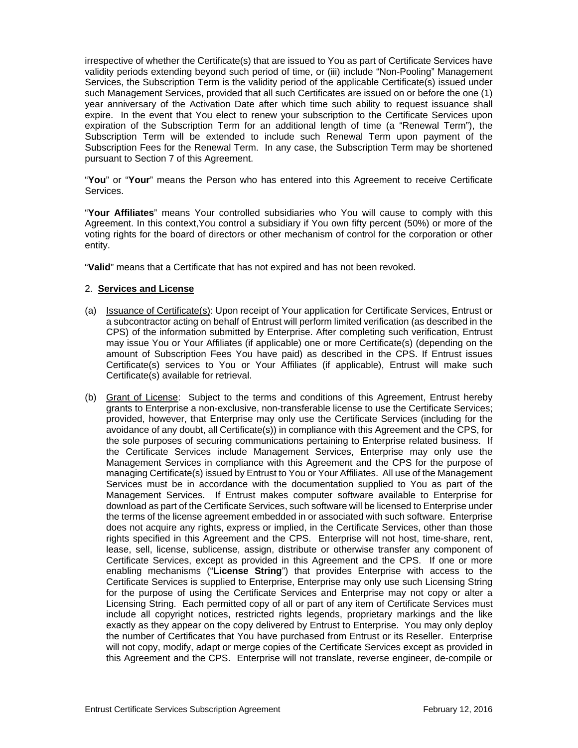irrespective of whether the Certificate(s) that are issued to You as part of Certificate Services have validity periods extending beyond such period of time, or (iii) include "Non-Pooling" Management Services, the Subscription Term is the validity period of the applicable Certificate(s) issued under such Management Services, provided that all such Certificates are issued on or before the one (1) year anniversary of the Activation Date after which time such ability to request issuance shall expire. In the event that You elect to renew your subscription to the Certificate Services upon expiration of the Subscription Term for an additional length of time (a "Renewal Term"), the Subscription Term will be extended to include such Renewal Term upon payment of the Subscription Fees for the Renewal Term. In any case, the Subscription Term may be shortened pursuant to Section 7 of this Agreement.

"**You**" or "**Your**" means the Person who has entered into this Agreement to receive Certificate **Services** 

"**Your Affiliates**" means Your controlled subsidiaries who You will cause to comply with this Agreement. In this context,You control a subsidiary if You own fifty percent (50%) or more of the voting rights for the board of directors or other mechanism of control for the corporation or other entity.

"**Valid**" means that a Certificate that has not expired and has not been revoked.

## 2. **Services and License**

- (a) Issuance of Certificate(s): Upon receipt of Your application for Certificate Services, Entrust or a subcontractor acting on behalf of Entrust will perform limited verification (as described in the CPS) of the information submitted by Enterprise. After completing such verification, Entrust may issue You or Your Affiliates (if applicable) one or more Certificate(s) (depending on the amount of Subscription Fees You have paid) as described in the CPS. If Entrust issues Certificate(s) services to You or Your Affiliates (if applicable), Entrust will make such Certificate(s) available for retrieval.
- (b) Grant of License: Subject to the terms and conditions of this Agreement, Entrust hereby grants to Enterprise a non-exclusive, non-transferable license to use the Certificate Services; provided, however, that Enterprise may only use the Certificate Services (including for the avoidance of any doubt, all Certificate(s)) in compliance with this Agreement and the CPS, for the sole purposes of securing communications pertaining to Enterprise related business. If the Certificate Services include Management Services, Enterprise may only use the Management Services in compliance with this Agreement and the CPS for the purpose of managing Certificate(s) issued by Entrust to You or Your Affiliates. All use of the Management Services must be in accordance with the documentation supplied to You as part of the Management Services. If Entrust makes computer software available to Enterprise for download as part of the Certificate Services, such software will be licensed to Enterprise under the terms of the license agreement embedded in or associated with such software. Enterprise does not acquire any rights, express or implied, in the Certificate Services, other than those rights specified in this Agreement and the CPS. Enterprise will not host, time-share, rent, lease, sell, license, sublicense, assign, distribute or otherwise transfer any component of Certificate Services, except as provided in this Agreement and the CPS. If one or more enabling mechanisms ("**License String**") that provides Enterprise with access to the Certificate Services is supplied to Enterprise, Enterprise may only use such Licensing String for the purpose of using the Certificate Services and Enterprise may not copy or alter a Licensing String. Each permitted copy of all or part of any item of Certificate Services must include all copyright notices, restricted rights legends, proprietary markings and the like exactly as they appear on the copy delivered by Entrust to Enterprise. You may only deploy the number of Certificates that You have purchased from Entrust or its Reseller. Enterprise will not copy, modify, adapt or merge copies of the Certificate Services except as provided in this Agreement and the CPS. Enterprise will not translate, reverse engineer, de-compile or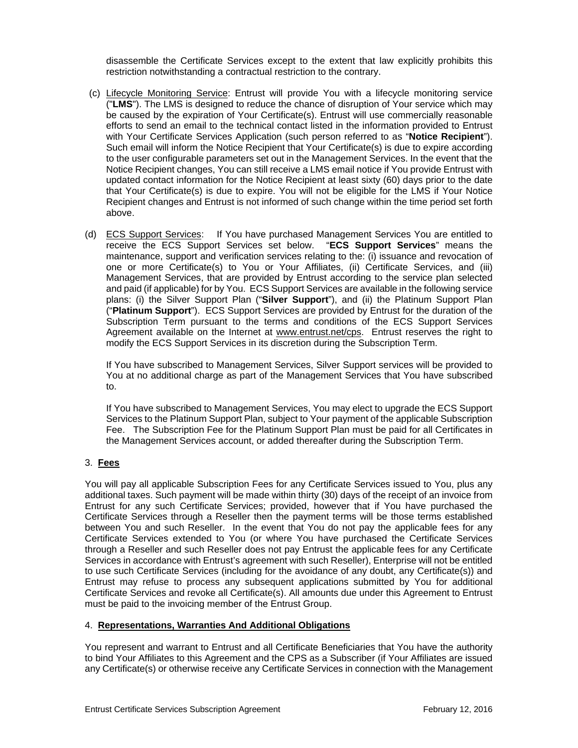disassemble the Certificate Services except to the extent that law explicitly prohibits this restriction notwithstanding a contractual restriction to the contrary.

- (c) Lifecycle Monitoring Service: Entrust will provide You with a lifecycle monitoring service ("**LMS**"). The LMS is designed to reduce the chance of disruption of Your service which may be caused by the expiration of Your Certificate(s). Entrust will use commercially reasonable efforts to send an email to the technical contact listed in the information provided to Entrust with Your Certificate Services Application (such person referred to as "**Notice Recipient**"). Such email will inform the Notice Recipient that Your Certificate(s) is due to expire according to the user configurable parameters set out in the Management Services. In the event that the Notice Recipient changes, You can still receive a LMS email notice if You provide Entrust with updated contact information for the Notice Recipient at least sixty (60) days prior to the date that Your Certificate(s) is due to expire. You will not be eligible for the LMS if Your Notice Recipient changes and Entrust is not informed of such change within the time period set forth above.
- (d) ECS Support Services: If You have purchased Management Services You are entitled to receive the ECS Support Services set below. "**ECS Support Services**" means the maintenance, support and verification services relating to the: (i) issuance and revocation of one or more Certificate(s) to You or Your Affiliates, (ii) Certificate Services, and (iii) Management Services, that are provided by Entrust according to the service plan selected and paid (if applicable) for by You. ECS Support Services are available in the following service plans: (i) the Silver Support Plan ("**Silver Support**"), and (ii) the Platinum Support Plan ("**Platinum Support**"). ECS Support Services are provided by Entrust for the duration of the Subscription Term pursuant to the terms and conditions of the ECS Support Services Agreement available on the Internet at www.entrust.net/cps. Entrust reserves the right to modify the ECS Support Services in its discretion during the Subscription Term.

If You have subscribed to Management Services, Silver Support services will be provided to You at no additional charge as part of the Management Services that You have subscribed to.

If You have subscribed to Management Services, You may elect to upgrade the ECS Support Services to the Platinum Support Plan, subject to Your payment of the applicable Subscription Fee. The Subscription Fee for the Platinum Support Plan must be paid for all Certificates in the Management Services account, or added thereafter during the Subscription Term.

## 3. **Fees**

You will pay all applicable Subscription Fees for any Certificate Services issued to You, plus any additional taxes. Such payment will be made within thirty (30) days of the receipt of an invoice from Entrust for any such Certificate Services; provided, however that if You have purchased the Certificate Services through a Reseller then the payment terms will be those terms established between You and such Reseller. In the event that You do not pay the applicable fees for any Certificate Services extended to You (or where You have purchased the Certificate Services through a Reseller and such Reseller does not pay Entrust the applicable fees for any Certificate Services in accordance with Entrust's agreement with such Reseller), Enterprise will not be entitled to use such Certificate Services (including for the avoidance of any doubt, any Certificate(s)) and Entrust may refuse to process any subsequent applications submitted by You for additional Certificate Services and revoke all Certificate(s). All amounts due under this Agreement to Entrust must be paid to the invoicing member of the Entrust Group.

## 4. **Representations, Warranties And Additional Obligations**

You represent and warrant to Entrust and all Certificate Beneficiaries that You have the authority to bind Your Affiliates to this Agreement and the CPS as a Subscriber (if Your Affiliates are issued any Certificate(s) or otherwise receive any Certificate Services in connection with the Management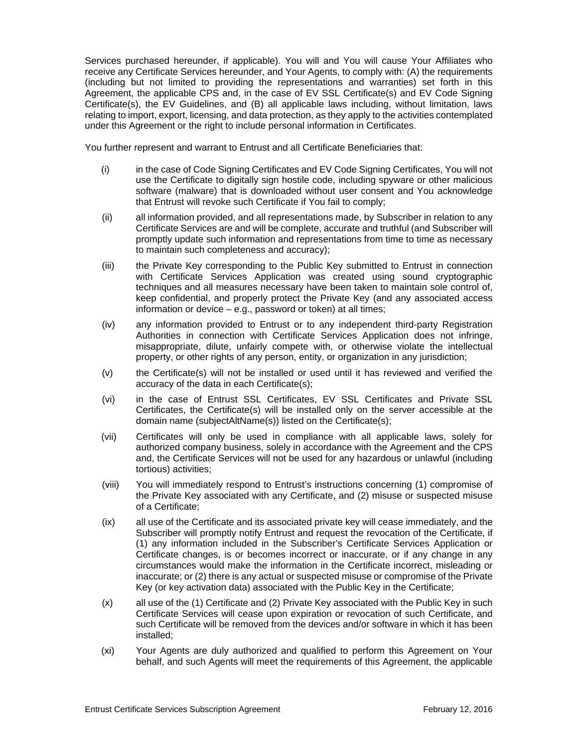Services purchased hereunder, if applicable). You will and You will cause Your Affiliates who receive any Certificate Services hereunder, and Your Agents, to comply with: (A) the requirements (including but not limited to providing the representations and warranties) set forth in this Agreement, the applicable CPS and, in the case of EV SSL Certificate(s) and EV Code Signing Certificate(s), the EV Guidelines, and (B) all applicable laws including, without limitation, laws relating to import, export, licensing, and data protection, as they apply to the activities contemplated under this Agreement or the right to include personal information in Certificates.

You further represent and warrant to Entrust and all Certificate Beneficiaries that:

- (i) in the case of Code Signing Certificates and EV Code Signing Certificates, You will not use the Certificate to digitally sign hostile code, including spyware or other malicious software (malware) that is downloaded without user consent and You acknowledge that Entrust will revoke such Certificate if You fail to comply;
- (ii) all information provided, and all representations made, by Subscriber in relation to any Certificate Services are and will be complete, accurate and truthful (and Subscriber will promptly update such information and representations from time to time as necessary to maintain such completeness and accuracy);
- (iii) the Private Key corresponding to the Public Key submitted to Entrust in connection with Certificate Services Application was created using sound cryptographic techniques and all measures necessary have been taken to maintain sole control of, keep confidential, and properly protect the Private Key (and any associated access information or device – e.g., password or token) at all times;
- (iv) any information provided to Entrust or to any independent third-party Registration Authorities in connection with Certificate Services Application does not infringe, misappropriate, dilute, unfairly compete with, or otherwise violate the intellectual property, or other rights of any person, entity, or organization in any jurisdiction;
- (v) the Certificate(s) will not be installed or used until it has reviewed and verified the accuracy of the data in each Certificate(s);
- (vi) in the case of Entrust SSL Certificates, EV SSL Certificates and Private SSL Certificates, the Certificate(s) will be installed only on the server accessible at the domain name (subjectAltName(s)) listed on the Certificate(s);
- (vii) Certificates will only be used in compliance with all applicable laws, solely for authorized company business, solely in accordance with the Agreement and the CPS and, the Certificate Services will not be used for any hazardous or unlawful (including tortious) activities;
- (viii) You will immediately respond to Entrust's instructions concerning (1) compromise of the Private Key associated with any Certificate, and (2) misuse or suspected misuse of a Certificate;
- (ix) all use of the Certificate and its associated private key will cease immediately, and the Subscriber will promptly notify Entrust and request the revocation of the Certificate, if (1) any information included in the Subscriber's Certificate Services Application or Certificate changes, is or becomes incorrect or inaccurate, or if any change in any circumstances would make the information in the Certificate incorrect, misleading or inaccurate; or (2) there is any actual or suspected misuse or compromise of the Private Key (or key activation data) associated with the Public Key in the Certificate;
- (x) all use of the (1) Certificate and (2) Private Key associated with the Public Key in such Certificate Services will cease upon expiration or revocation of such Certificate, and such Certificate will be removed from the devices and/or software in which it has been installed;
- (xi) Your Agents are duly authorized and qualified to perform this Agreement on Your behalf, and such Agents will meet the requirements of this Agreement, the applicable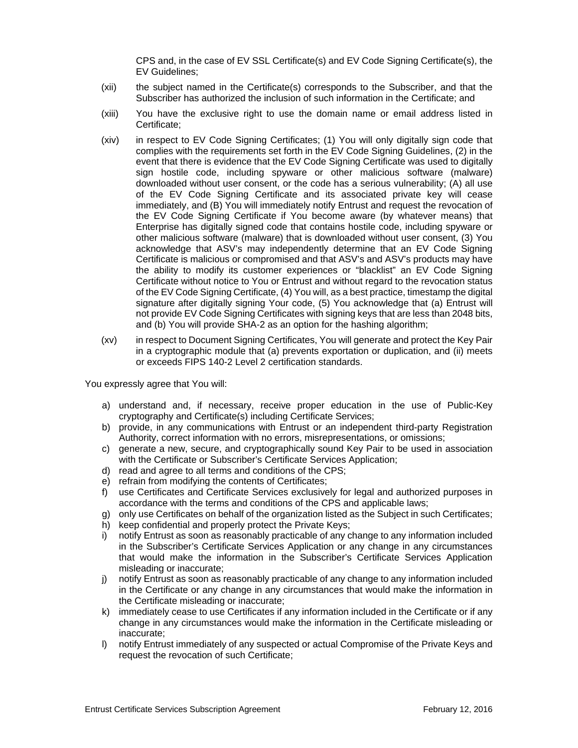CPS and, in the case of EV SSL Certificate(s) and EV Code Signing Certificate(s), the EV Guidelines;

- (xii) the subject named in the Certificate(s) corresponds to the Subscriber, and that the Subscriber has authorized the inclusion of such information in the Certificate; and
- (xiii) You have the exclusive right to use the domain name or email address listed in Certificate;
- (xiv) in respect to EV Code Signing Certificates; (1) You will only digitally sign code that complies with the requirements set forth in the EV Code Signing Guidelines, (2) in the event that there is evidence that the EV Code Signing Certificate was used to digitally sign hostile code, including spyware or other malicious software (malware) downloaded without user consent, or the code has a serious vulnerability; (A) all use of the EV Code Signing Certificate and its associated private key will cease immediately, and (B) You will immediately notify Entrust and request the revocation of the EV Code Signing Certificate if You become aware (by whatever means) that Enterprise has digitally signed code that contains hostile code, including spyware or other malicious software (malware) that is downloaded without user consent, (3) You acknowledge that ASV's may independently determine that an EV Code Signing Certificate is malicious or compromised and that ASV's and ASV's products may have the ability to modify its customer experiences or "blacklist" an EV Code Signing Certificate without notice to You or Entrust and without regard to the revocation status of the EV Code Signing Certificate, (4) You will, as a best practice, timestamp the digital signature after digitally signing Your code, (5) You acknowledge that (a) Entrust will not provide EV Code Signing Certificates with signing keys that are less than 2048 bits, and (b) You will provide SHA-2 as an option for the hashing algorithm;
- (xv) in respect to Document Signing Certificates, You will generate and protect the Key Pair in a cryptographic module that (a) prevents exportation or duplication, and (ii) meets or exceeds FIPS 140-2 Level 2 certification standards.

You expressly agree that You will:

- a) understand and, if necessary, receive proper education in the use of Public-Key cryptography and Certificate(s) including Certificate Services;
- b) provide, in any communications with Entrust or an independent third-party Registration Authority, correct information with no errors, misrepresentations, or omissions;
- c) generate a new, secure, and cryptographically sound Key Pair to be used in association with the Certificate or Subscriber's Certificate Services Application;
- d) read and agree to all terms and conditions of the CPS;
- e) refrain from modifying the contents of Certificates;
- f) use Certificates and Certificate Services exclusively for legal and authorized purposes in accordance with the terms and conditions of the CPS and applicable laws;
- g) only use Certificates on behalf of the organization listed as the Subject in such Certificates;
- h) keep confidential and properly protect the Private Keys;
- i) notify Entrust as soon as reasonably practicable of any change to any information included in the Subscriber's Certificate Services Application or any change in any circumstances that would make the information in the Subscriber's Certificate Services Application misleading or inaccurate;
- j) notify Entrust as soon as reasonably practicable of any change to any information included in the Certificate or any change in any circumstances that would make the information in the Certificate misleading or inaccurate;
- k) immediately cease to use Certificates if any information included in the Certificate or if any change in any circumstances would make the information in the Certificate misleading or inaccurate;
- l) notify Entrust immediately of any suspected or actual Compromise of the Private Keys and request the revocation of such Certificate;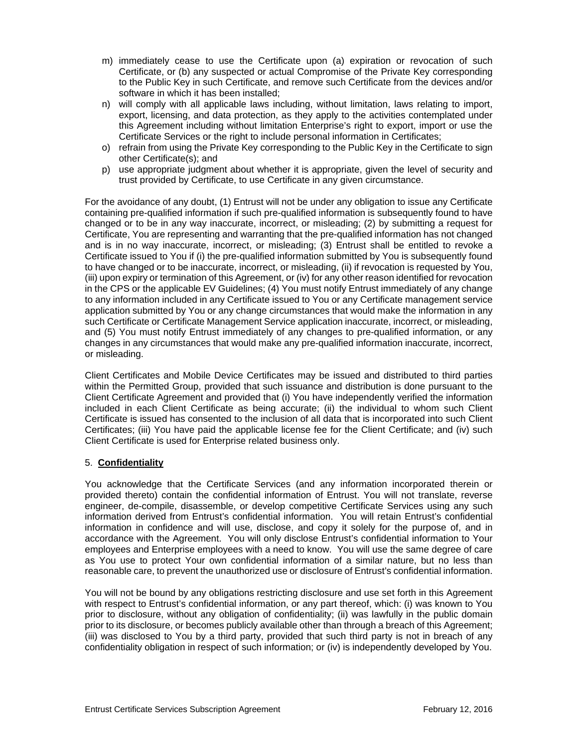- m) immediately cease to use the Certificate upon (a) expiration or revocation of such Certificate, or (b) any suspected or actual Compromise of the Private Key corresponding to the Public Key in such Certificate, and remove such Certificate from the devices and/or software in which it has been installed;
- n) will comply with all applicable laws including, without limitation, laws relating to import, export, licensing, and data protection, as they apply to the activities contemplated under this Agreement including without limitation Enterprise's right to export, import or use the Certificate Services or the right to include personal information in Certificates;
- o) refrain from using the Private Key corresponding to the Public Key in the Certificate to sign other Certificate(s); and
- p) use appropriate judgment about whether it is appropriate, given the level of security and trust provided by Certificate, to use Certificate in any given circumstance.

For the avoidance of any doubt, (1) Entrust will not be under any obligation to issue any Certificate containing pre-qualified information if such pre-qualified information is subsequently found to have changed or to be in any way inaccurate, incorrect, or misleading; (2) by submitting a request for Certificate, You are representing and warranting that the pre-qualified information has not changed and is in no way inaccurate, incorrect, or misleading; (3) Entrust shall be entitled to revoke a Certificate issued to You if (i) the pre-qualified information submitted by You is subsequently found to have changed or to be inaccurate, incorrect, or misleading, (ii) if revocation is requested by You, (iii) upon expiry or termination of this Agreement, or (iv) for any other reason identified for revocation in the CPS or the applicable EV Guidelines; (4) You must notify Entrust immediately of any change to any information included in any Certificate issued to You or any Certificate management service application submitted by You or any change circumstances that would make the information in any such Certificate or Certificate Management Service application inaccurate, incorrect, or misleading, and (5) You must notify Entrust immediately of any changes to pre-qualified information, or any changes in any circumstances that would make any pre-qualified information inaccurate, incorrect, or misleading.

Client Certificates and Mobile Device Certificates may be issued and distributed to third parties within the Permitted Group, provided that such issuance and distribution is done pursuant to the Client Certificate Agreement and provided that (i) You have independently verified the information included in each Client Certificate as being accurate; (ii) the individual to whom such Client Certificate is issued has consented to the inclusion of all data that is incorporated into such Client Certificates; (iii) You have paid the applicable license fee for the Client Certificate; and (iv) such Client Certificate is used for Enterprise related business only.

## 5. **Confidentiality**

You acknowledge that the Certificate Services (and any information incorporated therein or provided thereto) contain the confidential information of Entrust. You will not translate, reverse engineer, de-compile, disassemble, or develop competitive Certificate Services using any such information derived from Entrust's confidential information. You will retain Entrust's confidential information in confidence and will use, disclose, and copy it solely for the purpose of, and in accordance with the Agreement. You will only disclose Entrust's confidential information to Your employees and Enterprise employees with a need to know. You will use the same degree of care as You use to protect Your own confidential information of a similar nature, but no less than reasonable care, to prevent the unauthorized use or disclosure of Entrust's confidential information.

You will not be bound by any obligations restricting disclosure and use set forth in this Agreement with respect to Entrust's confidential information, or any part thereof, which: (i) was known to You prior to disclosure, without any obligation of confidentiality; (ii) was lawfully in the public domain prior to its disclosure, or becomes publicly available other than through a breach of this Agreement; (iii) was disclosed to You by a third party, provided that such third party is not in breach of any confidentiality obligation in respect of such information; or (iv) is independently developed by You.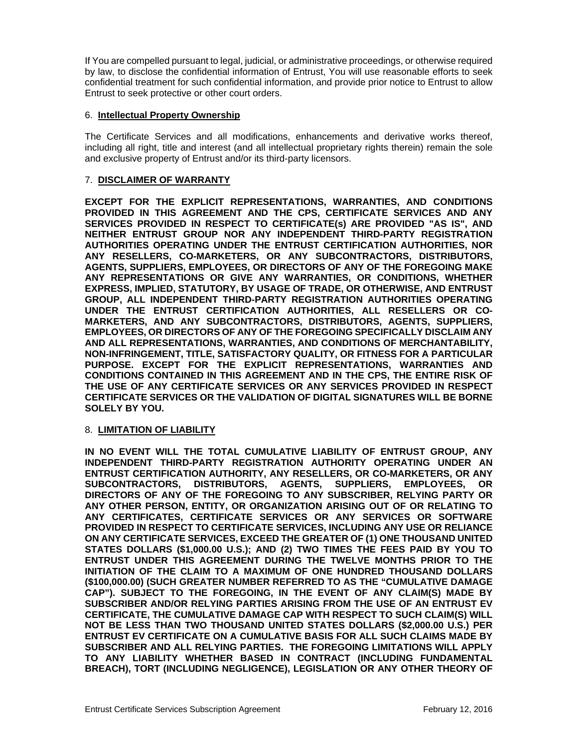If You are compelled pursuant to legal, judicial, or administrative proceedings, or otherwise required by law, to disclose the confidential information of Entrust, You will use reasonable efforts to seek confidential treatment for such confidential information, and provide prior notice to Entrust to allow Entrust to seek protective or other court orders.

## 6. **Intellectual Property Ownership**

The Certificate Services and all modifications, enhancements and derivative works thereof, including all right, title and interest (and all intellectual proprietary rights therein) remain the sole and exclusive property of Entrust and/or its third-party licensors.

## 7. **DISCLAIMER OF WARRANTY**

**EXCEPT FOR THE EXPLICIT REPRESENTATIONS, WARRANTIES, AND CONDITIONS PROVIDED IN THIS AGREEMENT AND THE CPS, CERTIFICATE SERVICES AND ANY SERVICES PROVIDED IN RESPECT TO CERTIFICATE(s) ARE PROVIDED "AS IS", AND NEITHER ENTRUST GROUP NOR ANY INDEPENDENT THIRD-PARTY REGISTRATION AUTHORITIES OPERATING UNDER THE ENTRUST CERTIFICATION AUTHORITIES, NOR ANY RESELLERS, CO-MARKETERS, OR ANY SUBCONTRACTORS, DISTRIBUTORS, AGENTS, SUPPLIERS, EMPLOYEES, OR DIRECTORS OF ANY OF THE FOREGOING MAKE ANY REPRESENTATIONS OR GIVE ANY WARRANTIES, OR CONDITIONS, WHETHER EXPRESS, IMPLIED, STATUTORY, BY USAGE OF TRADE, OR OTHERWISE, AND ENTRUST GROUP, ALL INDEPENDENT THIRD-PARTY REGISTRATION AUTHORITIES OPERATING UNDER THE ENTRUST CERTIFICATION AUTHORITIES, ALL RESELLERS OR CO-MARKETERS, AND ANY SUBCONTRACTORS, DISTRIBUTORS, AGENTS, SUPPLIERS, EMPLOYEES, OR DIRECTORS OF ANY OF THE FOREGOING SPECIFICALLY DISCLAIM ANY AND ALL REPRESENTATIONS, WARRANTIES, AND CONDITIONS OF MERCHANTABILITY, NON-INFRINGEMENT, TITLE, SATISFACTORY QUALITY, OR FITNESS FOR A PARTICULAR PURPOSE. EXCEPT FOR THE EXPLICIT REPRESENTATIONS, WARRANTIES AND CONDITIONS CONTAINED IN THIS AGREEMENT AND IN THE CPS, THE ENTIRE RISK OF THE USE OF ANY CERTIFICATE SERVICES OR ANY SERVICES PROVIDED IN RESPECT CERTIFICATE SERVICES OR THE VALIDATION OF DIGITAL SIGNATURES WILL BE BORNE SOLELY BY YOU.**

#### 8. **LIMITATION OF LIABILITY**

**IN NO EVENT WILL THE TOTAL CUMULATIVE LIABILITY OF ENTRUST GROUP, ANY INDEPENDENT THIRD-PARTY REGISTRATION AUTHORITY OPERATING UNDER AN ENTRUST CERTIFICATION AUTHORITY, ANY RESELLERS, OR CO-MARKETERS, OR ANY SUBCONTRACTORS, DISTRIBUTORS, AGENTS, SUPPLIERS, EMPLOYEES, OR DIRECTORS OF ANY OF THE FOREGOING TO ANY SUBSCRIBER, RELYING PARTY OR ANY OTHER PERSON, ENTITY, OR ORGANIZATION ARISING OUT OF OR RELATING TO ANY CERTIFICATES, CERTIFICATE SERVICES OR ANY SERVICES OR SOFTWARE PROVIDED IN RESPECT TO CERTIFICATE SERVICES, INCLUDING ANY USE OR RELIANCE ON ANY CERTIFICATE SERVICES, EXCEED THE GREATER OF (1) ONE THOUSAND UNITED STATES DOLLARS (\$1,000.00 U.S.); AND (2) TWO TIMES THE FEES PAID BY YOU TO ENTRUST UNDER THIS AGREEMENT DURING THE TWELVE MONTHS PRIOR TO THE INITIATION OF THE CLAIM TO A MAXIMUM OF ONE HUNDRED THOUSAND DOLLARS (\$100,000.00) (SUCH GREATER NUMBER REFERRED TO AS THE "CUMULATIVE DAMAGE CAP"). SUBJECT TO THE FOREGOING, IN THE EVENT OF ANY CLAIM(S) MADE BY SUBSCRIBER AND/OR RELYING PARTIES ARISING FROM THE USE OF AN ENTRUST EV CERTIFICATE, THE CUMULATIVE DAMAGE CAP WITH RESPECT TO SUCH CLAIM(S) WILL NOT BE LESS THAN TWO THOUSAND UNITED STATES DOLLARS (\$2,000.00 U.S.) PER ENTRUST EV CERTIFICATE ON A CUMULATIVE BASIS FOR ALL SUCH CLAIMS MADE BY SUBSCRIBER AND ALL RELYING PARTIES. THE FOREGOING LIMITATIONS WILL APPLY TO ANY LIABILITY WHETHER BASED IN CONTRACT (INCLUDING FUNDAMENTAL BREACH), TORT (INCLUDING NEGLIGENCE), LEGISLATION OR ANY OTHER THEORY OF**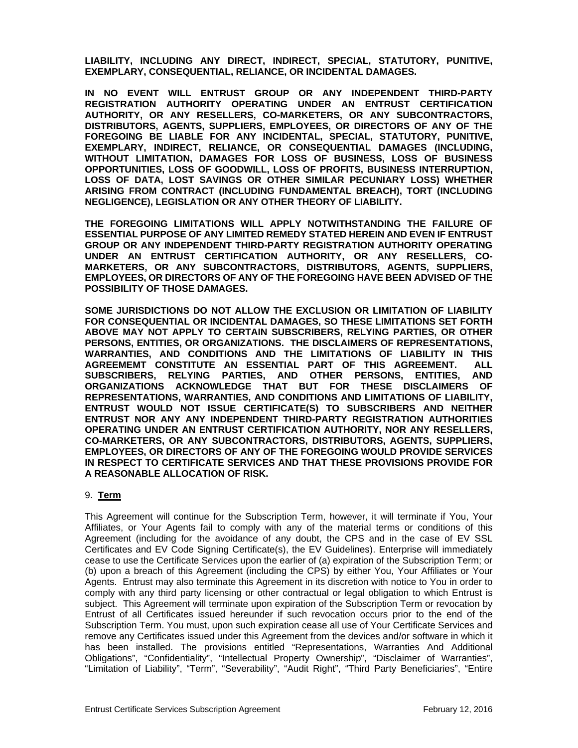**LIABILITY, INCLUDING ANY DIRECT, INDIRECT, SPECIAL, STATUTORY, PUNITIVE, EXEMPLARY, CONSEQUENTIAL, RELIANCE, OR INCIDENTAL DAMAGES.** 

**IN NO EVENT WILL ENTRUST GROUP OR ANY INDEPENDENT THIRD-PARTY REGISTRATION AUTHORITY OPERATING UNDER AN ENTRUST CERTIFICATION AUTHORITY, OR ANY RESELLERS, CO-MARKETERS, OR ANY SUBCONTRACTORS, DISTRIBUTORS, AGENTS, SUPPLIERS, EMPLOYEES, OR DIRECTORS OF ANY OF THE FOREGOING BE LIABLE FOR ANY INCIDENTAL, SPECIAL, STATUTORY, PUNITIVE, EXEMPLARY, INDIRECT, RELIANCE, OR CONSEQUENTIAL DAMAGES (INCLUDING, WITHOUT LIMITATION, DAMAGES FOR LOSS OF BUSINESS, LOSS OF BUSINESS OPPORTUNITIES, LOSS OF GOODWILL, LOSS OF PROFITS, BUSINESS INTERRUPTION, LOSS OF DATA, LOST SAVINGS OR OTHER SIMILAR PECUNIARY LOSS) WHETHER ARISING FROM CONTRACT (INCLUDING FUNDAMENTAL BREACH), TORT (INCLUDING NEGLIGENCE), LEGISLATION OR ANY OTHER THEORY OF LIABILITY.** 

**THE FOREGOING LIMITATIONS WILL APPLY NOTWITHSTANDING THE FAILURE OF ESSENTIAL PURPOSE OF ANY LIMITED REMEDY STATED HEREIN AND EVEN IF ENTRUST GROUP OR ANY INDEPENDENT THIRD-PARTY REGISTRATION AUTHORITY OPERATING UNDER AN ENTRUST CERTIFICATION AUTHORITY, OR ANY RESELLERS, CO-MARKETERS, OR ANY SUBCONTRACTORS, DISTRIBUTORS, AGENTS, SUPPLIERS, EMPLOYEES, OR DIRECTORS OF ANY OF THE FOREGOING HAVE BEEN ADVISED OF THE POSSIBILITY OF THOSE DAMAGES.** 

**SOME JURISDICTIONS DO NOT ALLOW THE EXCLUSION OR LIMITATION OF LIABILITY FOR CONSEQUENTIAL OR INCIDENTAL DAMAGES, SO THESE LIMITATIONS SET FORTH ABOVE MAY NOT APPLY TO CERTAIN SUBSCRIBERS, RELYING PARTIES, OR OTHER PERSONS, ENTITIES, OR ORGANIZATIONS. THE DISCLAIMERS OF REPRESENTATIONS, WARRANTIES, AND CONDITIONS AND THE LIMITATIONS OF LIABILITY IN THIS AGREEMEMT CONSTITUTE AN ESSENTIAL PART OF THIS AGREEMENT. ALL SUBSCRIBERS, RELYING PARTIES, AND OTHER PERSONS, ENTITIES, AND ORGANIZATIONS ACKNOWLEDGE THAT BUT FOR THESE DISCLAIMERS OF REPRESENTATIONS, WARRANTIES, AND CONDITIONS AND LIMITATIONS OF LIABILITY, ENTRUST WOULD NOT ISSUE CERTIFICATE(S) TO SUBSCRIBERS AND NEITHER ENTRUST NOR ANY ANY INDEPENDENT THIRD-PARTY REGISTRATION AUTHORITIES OPERATING UNDER AN ENTRUST CERTIFICATION AUTHORITY, NOR ANY RESELLERS, CO-MARKETERS, OR ANY SUBCONTRACTORS, DISTRIBUTORS, AGENTS, SUPPLIERS, EMPLOYEES, OR DIRECTORS OF ANY OF THE FOREGOING WOULD PROVIDE SERVICES IN RESPECT TO CERTIFICATE SERVICES AND THAT THESE PROVISIONS PROVIDE FOR A REASONABLE ALLOCATION OF RISK.** 

#### 9. **Term**

This Agreement will continue for the Subscription Term, however, it will terminate if You, Your Affiliates, or Your Agents fail to comply with any of the material terms or conditions of this Agreement (including for the avoidance of any doubt, the CPS and in the case of EV SSL Certificates and EV Code Signing Certificate(s), the EV Guidelines). Enterprise will immediately cease to use the Certificate Services upon the earlier of (a) expiration of the Subscription Term; or (b) upon a breach of this Agreement (including the CPS) by either You, Your Affiliates or Your Agents. Entrust may also terminate this Agreement in its discretion with notice to You in order to comply with any third party licensing or other contractual or legal obligation to which Entrust is subject. This Agreement will terminate upon expiration of the Subscription Term or revocation by Entrust of all Certificates issued hereunder if such revocation occurs prior to the end of the Subscription Term. You must, upon such expiration cease all use of Your Certificate Services and remove any Certificates issued under this Agreement from the devices and/or software in which it has been installed. The provisions entitled "Representations, Warranties And Additional Obligations", "Confidentiality", "Intellectual Property Ownership", "Disclaimer of Warranties", "Limitation of Liability", "Term", "Severability", "Audit Right", "Third Party Beneficiaries", "Entire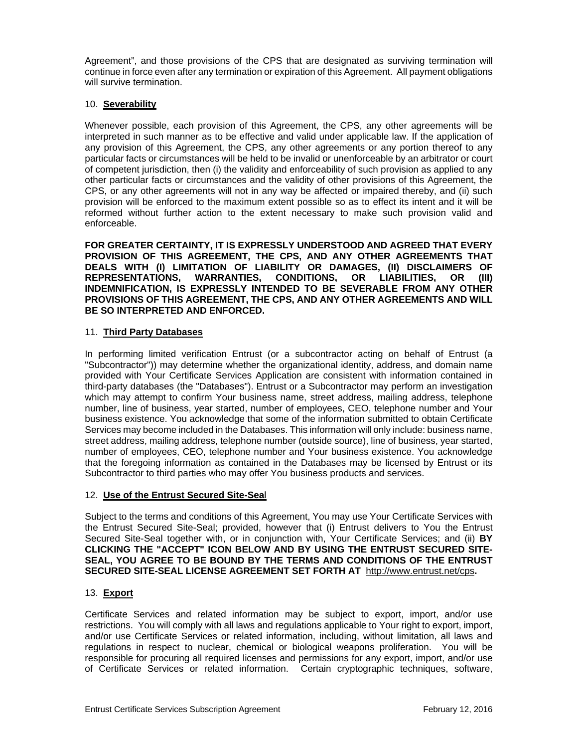Agreement", and those provisions of the CPS that are designated as surviving termination will continue in force even after any termination or expiration of this Agreement. All payment obligations will survive termination.

## 10. **Severability**

Whenever possible, each provision of this Agreement, the CPS, any other agreements will be interpreted in such manner as to be effective and valid under applicable law. If the application of any provision of this Agreement, the CPS, any other agreements or any portion thereof to any particular facts or circumstances will be held to be invalid or unenforceable by an arbitrator or court of competent jurisdiction, then (i) the validity and enforceability of such provision as applied to any other particular facts or circumstances and the validity of other provisions of this Agreement, the CPS, or any other agreements will not in any way be affected or impaired thereby, and (ii) such provision will be enforced to the maximum extent possible so as to effect its intent and it will be reformed without further action to the extent necessary to make such provision valid and enforceable.

**FOR GREATER CERTAINTY, IT IS EXPRESSLY UNDERSTOOD AND AGREED THAT EVERY PROVISION OF THIS AGREEMENT, THE CPS, AND ANY OTHER AGREEMENTS THAT DEALS WITH (I) LIMITATION OF LIABILITY OR DAMAGES, (II) DISCLAIMERS OF REPRESENTATIONS, WARRANTIES, CONDITIONS, OR LIABILITIES, OR (III) INDEMNIFICATION, IS EXPRESSLY INTENDED TO BE SEVERABLE FROM ANY OTHER PROVISIONS OF THIS AGREEMENT, THE CPS, AND ANY OTHER AGREEMENTS AND WILL BE SO INTERPRETED AND ENFORCED.** 

## 11. **Third Party Databases**

In performing limited verification Entrust (or a subcontractor acting on behalf of Entrust (a "Subcontractor")) may determine whether the organizational identity, address, and domain name provided with Your Certificate Services Application are consistent with information contained in third-party databases (the "Databases"). Entrust or a Subcontractor may perform an investigation which may attempt to confirm Your business name, street address, mailing address, telephone number, line of business, year started, number of employees, CEO, telephone number and Your business existence. You acknowledge that some of the information submitted to obtain Certificate Services may become included in the Databases. This information will only include: business name, street address, mailing address, telephone number (outside source), line of business, year started, number of employees, CEO, telephone number and Your business existence. You acknowledge that the foregoing information as contained in the Databases may be licensed by Entrust or its Subcontractor to third parties who may offer You business products and services.

#### 12. **Use of the Entrust Secured Site-Sea**l

Subject to the terms and conditions of this Agreement, You may use Your Certificate Services with the Entrust Secured Site-Seal; provided, however that (i) Entrust delivers to You the Entrust Secured Site-Seal together with, or in conjunction with, Your Certificate Services; and (ii) **BY CLICKING THE "ACCEPT" ICON BELOW AND BY USING THE ENTRUST SECURED SITE-SEAL, YOU AGREE TO BE BOUND BY THE TERMS AND CONDITIONS OF THE ENTRUST SECURED SITE-SEAL LICENSE AGREEMENT SET FORTH AT** http://www.entrust.net/cps**.**

#### 13. **Export**

Certificate Services and related information may be subject to export, import, and/or use restrictions. You will comply with all laws and regulations applicable to Your right to export, import, and/or use Certificate Services or related information, including, without limitation, all laws and regulations in respect to nuclear, chemical or biological weapons proliferation. You will be responsible for procuring all required licenses and permissions for any export, import, and/or use of Certificate Services or related information. Certain cryptographic techniques, software,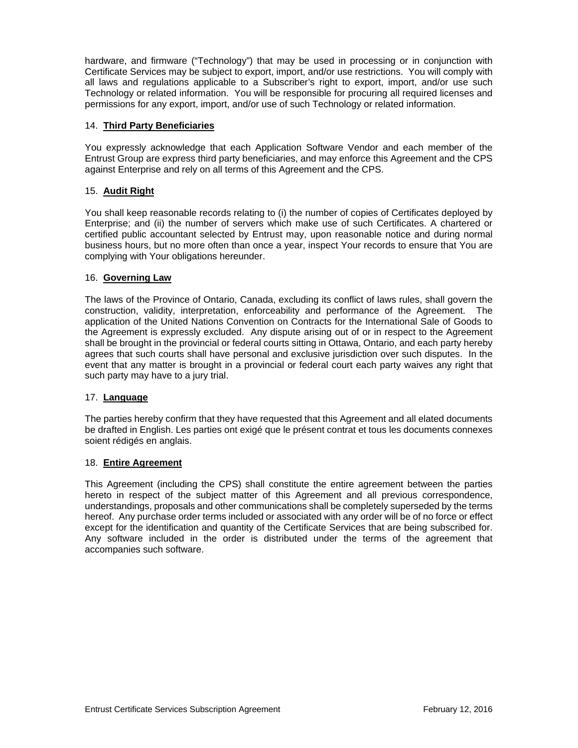hardware, and firmware ("Technology") that may be used in processing or in conjunction with Certificate Services may be subject to export, import, and/or use restrictions. You will comply with all laws and regulations applicable to a Subscriber's right to export, import, and/or use such Technology or related information. You will be responsible for procuring all required licenses and permissions for any export, import, and/or use of such Technology or related information.

## 14. **Third Party Beneficiaries**

You expressly acknowledge that each Application Software Vendor and each member of the Entrust Group are express third party beneficiaries, and may enforce this Agreement and the CPS against Enterprise and rely on all terms of this Agreement and the CPS.

## 15. **Audit Right**

You shall keep reasonable records relating to (i) the number of copies of Certificates deployed by Enterprise; and (ii) the number of servers which make use of such Certificates. A chartered or certified public accountant selected by Entrust may, upon reasonable notice and during normal business hours, but no more often than once a year, inspect Your records to ensure that You are complying with Your obligations hereunder.

## 16. **Governing Law**

The laws of the Province of Ontario, Canada, excluding its conflict of laws rules, shall govern the construction, validity, interpretation, enforceability and performance of the Agreement. The application of the United Nations Convention on Contracts for the International Sale of Goods to the Agreement is expressly excluded. Any dispute arising out of or in respect to the Agreement shall be brought in the provincial or federal courts sitting in Ottawa, Ontario, and each party hereby agrees that such courts shall have personal and exclusive jurisdiction over such disputes. In the event that any matter is brought in a provincial or federal court each party waives any right that such party may have to a jury trial.

#### 17. **Language**

The parties hereby confirm that they have requested that this Agreement and all elated documents be drafted in English. Les parties ont exigé que le présent contrat et tous les documents connexes soient rédigés en anglais.

#### 18. **Entire Agreement**

This Agreement (including the CPS) shall constitute the entire agreement between the parties hereto in respect of the subject matter of this Agreement and all previous correspondence, understandings, proposals and other communications shall be completely superseded by the terms hereof. Any purchase order terms included or associated with any order will be of no force or effect except for the identification and quantity of the Certificate Services that are being subscribed for. Any software included in the order is distributed under the terms of the agreement that accompanies such software.